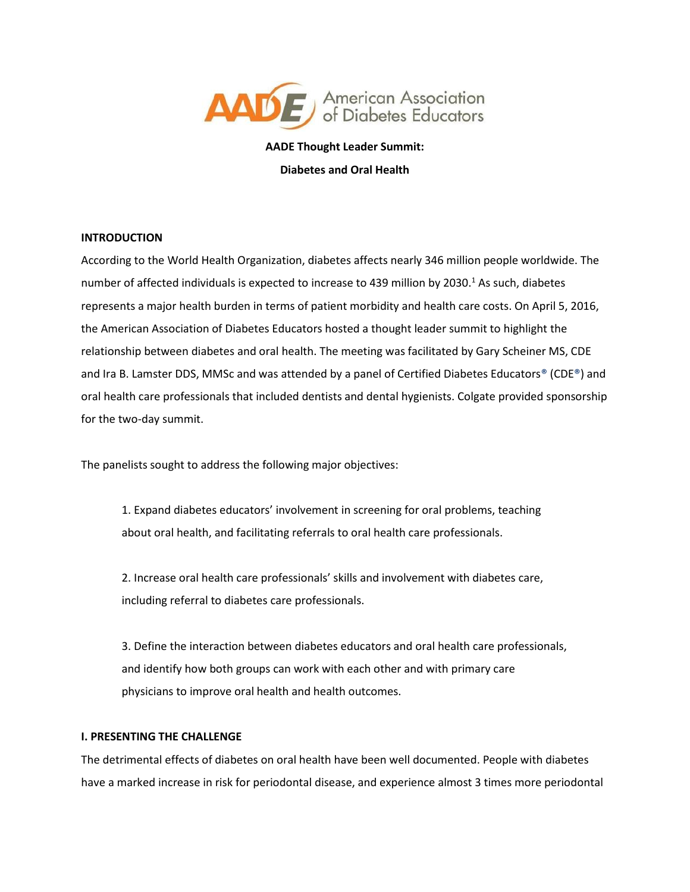

**AADE Thought Leader Summit: Diabetes and Oral Health**

# **INTRODUCTION**

According to the World Health Organization, diabetes affects nearly 346 million people worldwide. The number of affected individuals is expected to increase to 439 million by 2030.<sup>1</sup> As such, diabetes represents a major health burden in terms of patient morbidity and health care costs. On April 5, 2016, the American Association of Diabetes Educators hosted a thought leader summit to highlight the relationship between diabetes and oral health. The meeting was facilitated by Gary Scheiner MS, CDE and Ira B. Lamster DDS, MMSc and was attended by a panel of Certified Diabetes Educators® (CDE®) and oral health care professionals that included dentists and dental hygienists. Colgate provided sponsorship for the two-day summit.

The panelists sought to address the following major objectives:

1. Expand diabetes educators' involvement in screening for oral problems, teaching about oral health, and facilitating referrals to oral health care professionals.

2. Increase oral health care professionals' skills and involvement with diabetes care, including referral to diabetes care professionals.

3. Define the interaction between diabetes educators and oral health care professionals, and identify how both groups can work with each other and with primary care physicians to improve oral health and health outcomes.

# **I. PRESENTING THE CHALLENGE**

The detrimental effects of diabetes on oral health have been well documented. People with diabetes have a marked increase in risk for periodontal disease, and experience almost 3 times more periodontal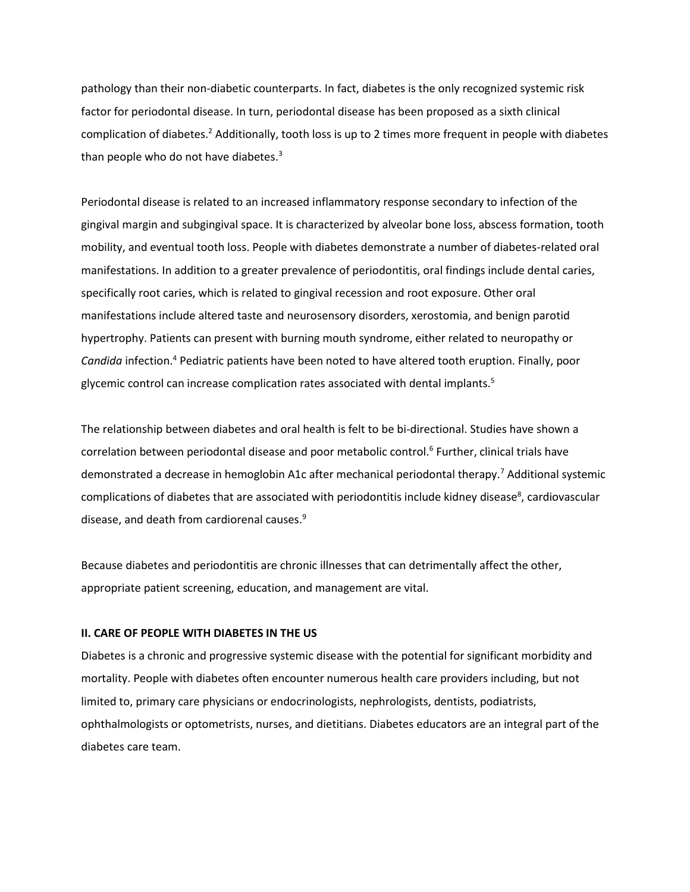pathology than their non-diabetic counterparts. In fact, diabetes is the only recognized systemic risk factor for periodontal disease. In turn, periodontal disease has been proposed as a sixth clinical complication of diabetes.<sup>2</sup> Additionally, tooth loss is up to 2 times more frequent in people with diabetes than people who do not have diabetes. $3$ 

Periodontal disease is related to an increased inflammatory response secondary to infection of the gingival margin and subgingival space. It is characterized by alveolar bone loss, abscess formation, tooth mobility, and eventual tooth loss. People with diabetes demonstrate a number of diabetes-related oral manifestations. In addition to a greater prevalence of periodontitis, oral findings include dental caries, specifically root caries, which is related to gingival recession and root exposure. Other oral manifestations include altered taste and neurosensory disorders, xerostomia, and benign parotid hypertrophy. Patients can present with burning mouth syndrome, either related to neuropathy or *Candida* infection.<sup>4</sup> Pediatric patients have been noted to have altered tooth eruption. Finally, poor glycemic control can increase complication rates associated with dental implants.<sup>5</sup>

The relationship between diabetes and oral health is felt to be bi-directional. Studies have shown a correlation between periodontal disease and poor metabolic control.<sup>6</sup> Further, clinical trials have demonstrated a decrease in hemoglobin A1c after mechanical periodontal therapy.<sup>7</sup> Additional systemic complications of diabetes that are associated with periodontitis include kidney disease<sup>8</sup>, cardiovascular disease, and death from cardiorenal causes.<sup>9</sup>

Because diabetes and periodontitis are chronic illnesses that can detrimentally affect the other, appropriate patient screening, education, and management are vital.

# **II. CARE OF PEOPLE WITH DIABETES IN THE US**

Diabetes is a chronic and progressive systemic disease with the potential for significant morbidity and mortality. People with diabetes often encounter numerous health care providers including, but not limited to, primary care physicians or endocrinologists, nephrologists, dentists, podiatrists, ophthalmologists or optometrists, nurses, and dietitians. Diabetes educators are an integral part of the diabetes care team.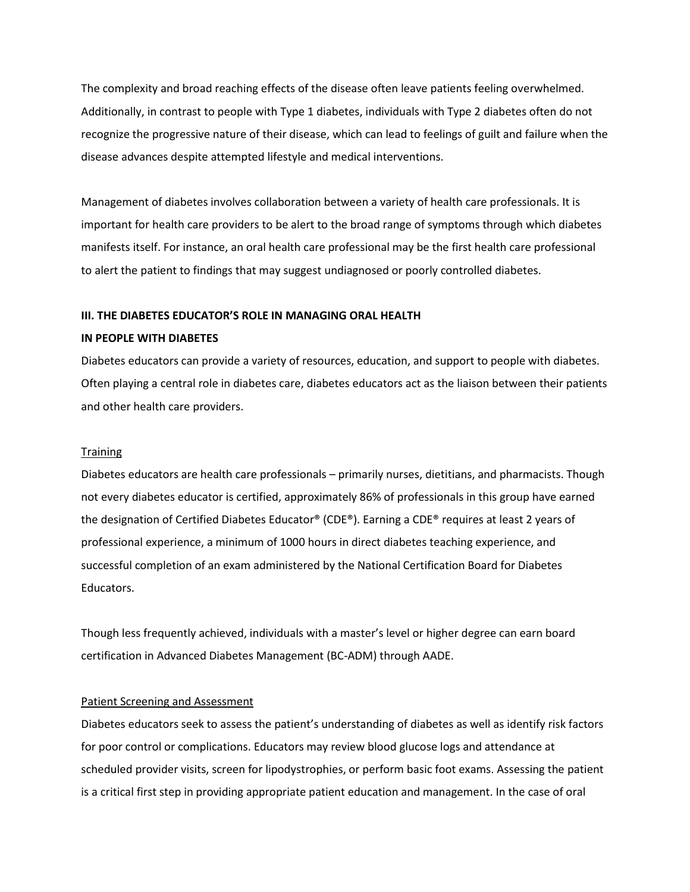The complexity and broad reaching effects of the disease often leave patients feeling overwhelmed. Additionally, in contrast to people with Type 1 diabetes, individuals with Type 2 diabetes often do not recognize the progressive nature of their disease, which can lead to feelings of guilt and failure when the disease advances despite attempted lifestyle and medical interventions.

Management of diabetes involves collaboration between a variety of health care professionals. It is important for health care providers to be alert to the broad range of symptoms through which diabetes manifests itself. For instance, an oral health care professional may be the first health care professional to alert the patient to findings that may suggest undiagnosed or poorly controlled diabetes.

# **III. THE DIABETES EDUCATOR'S ROLE IN MANAGING ORAL HEALTH**

# **IN PEOPLE WITH DIABETES**

Diabetes educators can provide a variety of resources, education, and support to people with diabetes. Often playing a central role in diabetes care, diabetes educators act as the liaison between their patients and other health care providers.

# **Training**

Diabetes educators are health care professionals – primarily nurses, dietitians, and pharmacists. Though not every diabetes educator is certified, approximately 86% of professionals in this group have earned the designation of Certified Diabetes Educator® (CDE®). Earning a CDE® requires at least 2 years of professional experience, a minimum of 1000 hours in direct diabetes teaching experience, and successful completion of an exam administered by the National Certification Board for Diabetes Educators.

Though less frequently achieved, individuals with a master's level or higher degree can earn board certification in Advanced Diabetes Management (BC-ADM) through AADE.

# Patient Screening and Assessment

Diabetes educators seek to assess the patient's understanding of diabetes as well as identify risk factors for poor control or complications. Educators may review blood glucose logs and attendance at scheduled provider visits, screen for lipodystrophies, or perform basic foot exams. Assessing the patient is a critical first step in providing appropriate patient education and management. In the case of oral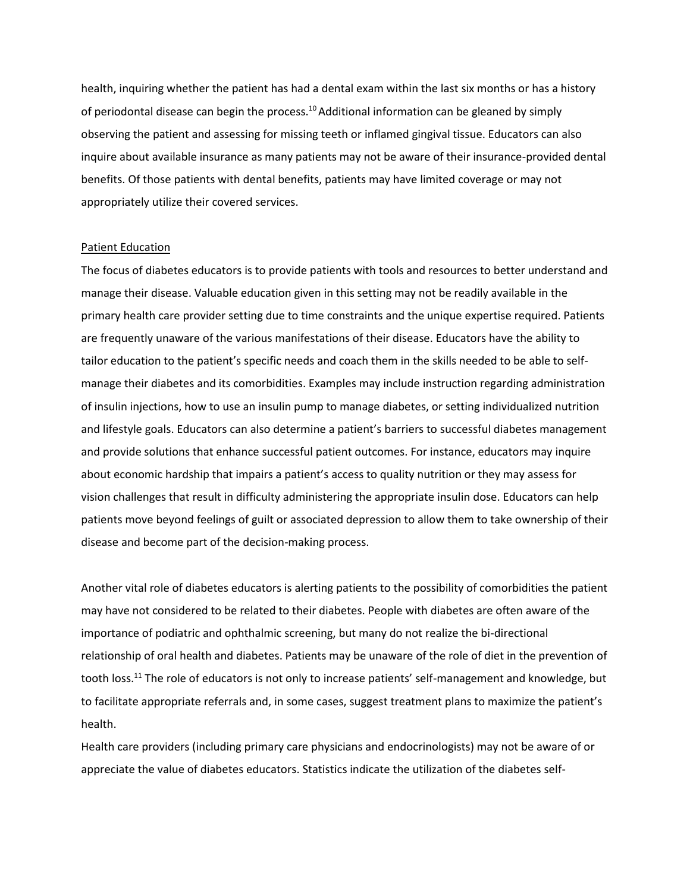health, inquiring whether the patient has had a dental exam within the last six months or has a history of periodontal disease can begin the process.<sup>10</sup> Additional information can be gleaned by simply observing the patient and assessing for missing teeth or inflamed gingival tissue. Educators can also inquire about available insurance as many patients may not be aware of their insurance-provided dental benefits. Of those patients with dental benefits, patients may have limited coverage or may not appropriately utilize their covered services.

# Patient Education

The focus of diabetes educators is to provide patients with tools and resources to better understand and manage their disease. Valuable education given in this setting may not be readily available in the primary health care provider setting due to time constraints and the unique expertise required. Patients are frequently unaware of the various manifestations of their disease. Educators have the ability to tailor education to the patient's specific needs and coach them in the skills needed to be able to selfmanage their diabetes and its comorbidities. Examples may include instruction regarding administration of insulin injections, how to use an insulin pump to manage diabetes, or setting individualized nutrition and lifestyle goals. Educators can also determine a patient's barriers to successful diabetes management and provide solutions that enhance successful patient outcomes. For instance, educators may inquire about economic hardship that impairs a patient's access to quality nutrition or they may assess for vision challenges that result in difficulty administering the appropriate insulin dose. Educators can help patients move beyond feelings of guilt or associated depression to allow them to take ownership of their disease and become part of the decision-making process.

Another vital role of diabetes educators is alerting patients to the possibility of comorbidities the patient may have not considered to be related to their diabetes. People with diabetes are often aware of the importance of podiatric and ophthalmic screening, but many do not realize the bi-directional relationship of oral health and diabetes. Patients may be unaware of the role of diet in the prevention of tooth loss.<sup>11</sup> The role of educators is not only to increase patients' self-management and knowledge, but to facilitate appropriate referrals and, in some cases, suggest treatment plans to maximize the patient's health.

Health care providers (including primary care physicians and endocrinologists) may not be aware of or appreciate the value of diabetes educators. Statistics indicate the utilization of the diabetes self-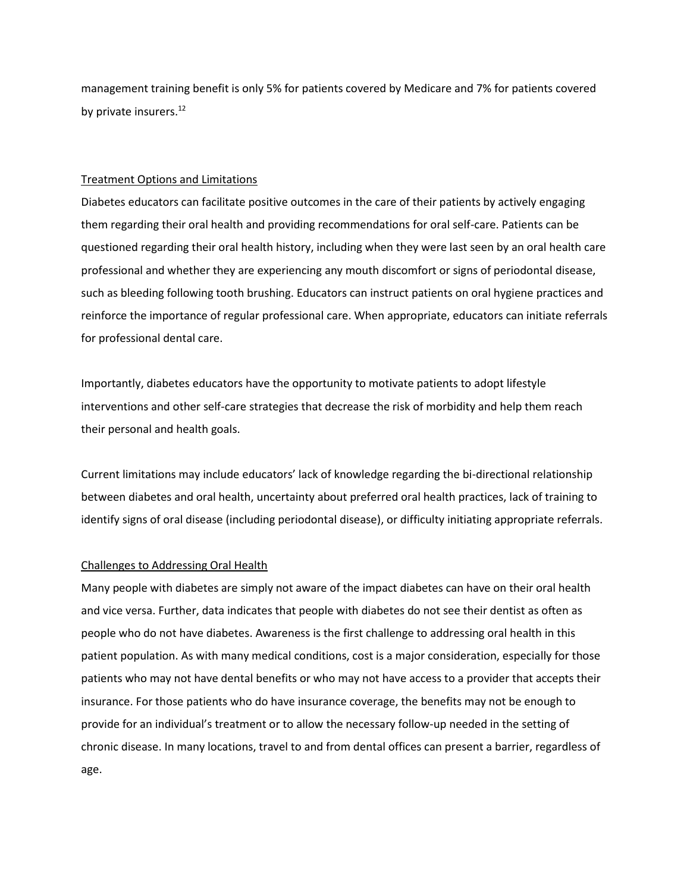management training benefit is only 5% for patients covered by Medicare and 7% for patients covered by private insurers.<sup>12</sup>

# Treatment Options and Limitations

Diabetes educators can facilitate positive outcomes in the care of their patients by actively engaging them regarding their oral health and providing recommendations for oral self-care. Patients can be questioned regarding their oral health history, including when they were last seen by an oral health care professional and whether they are experiencing any mouth discomfort or signs of periodontal disease, such as bleeding following tooth brushing. Educators can instruct patients on oral hygiene practices and reinforce the importance of regular professional care. When appropriate, educators can initiate referrals for professional dental care.

Importantly, diabetes educators have the opportunity to motivate patients to adopt lifestyle interventions and other self-care strategies that decrease the risk of morbidity and help them reach their personal and health goals.

Current limitations may include educators' lack of knowledge regarding the bi-directional relationship between diabetes and oral health, uncertainty about preferred oral health practices, lack of training to identify signs of oral disease (including periodontal disease), or difficulty initiating appropriate referrals.

#### Challenges to Addressing Oral Health

Many people with diabetes are simply not aware of the impact diabetes can have on their oral health and vice versa. Further, data indicates that people with diabetes do not see their dentist as often as people who do not have diabetes. Awareness is the first challenge to addressing oral health in this patient population. As with many medical conditions, cost is a major consideration, especially for those patients who may not have dental benefits or who may not have access to a provider that accepts their insurance. For those patients who do have insurance coverage, the benefits may not be enough to provide for an individual's treatment or to allow the necessary follow-up needed in the setting of chronic disease. In many locations, travel to and from dental offices can present a barrier, regardless of age.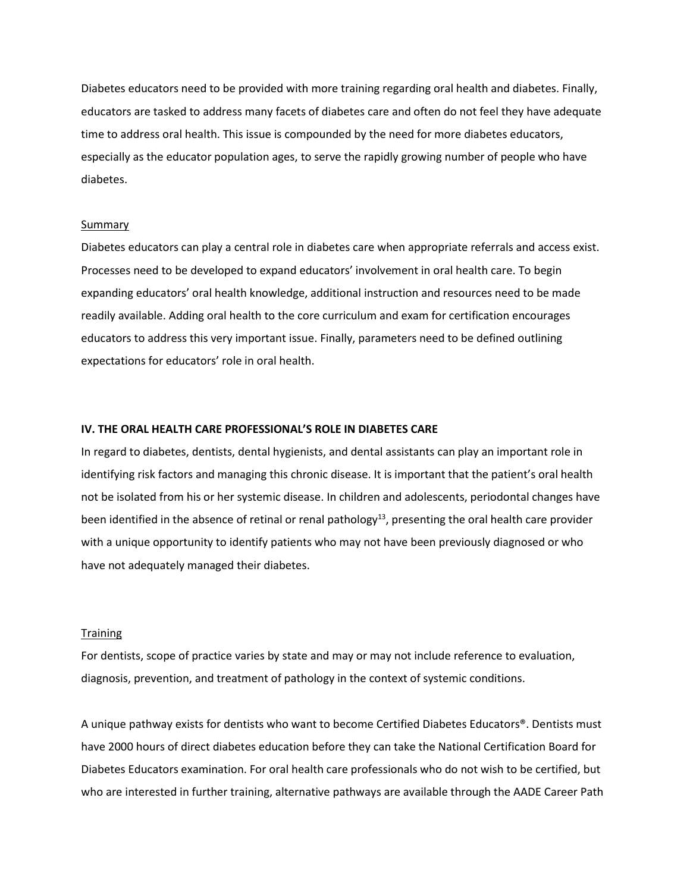Diabetes educators need to be provided with more training regarding oral health and diabetes. Finally, educators are tasked to address many facets of diabetes care and often do not feel they have adequate time to address oral health. This issue is compounded by the need for more diabetes educators, especially as the educator population ages, to serve the rapidly growing number of people who have diabetes.

#### Summary

Diabetes educators can play a central role in diabetes care when appropriate referrals and access exist. Processes need to be developed to expand educators' involvement in oral health care. To begin expanding educators' oral health knowledge, additional instruction and resources need to be made readily available. Adding oral health to the core curriculum and exam for certification encourages educators to address this very important issue. Finally, parameters need to be defined outlining expectations for educators' role in oral health.

# **IV. THE ORAL HEALTH CARE PROFESSIONAL'S ROLE IN DIABETES CARE**

In regard to diabetes, dentists, dental hygienists, and dental assistants can play an important role in identifying risk factors and managing this chronic disease. It is important that the patient's oral health not be isolated from his or her systemic disease. In children and adolescents, periodontal changes have been identified in the absence of retinal or renal pathology<sup>13</sup>, presenting the oral health care provider with a unique opportunity to identify patients who may not have been previously diagnosed or who have not adequately managed their diabetes.

#### **Training**

For dentists, scope of practice varies by state and may or may not include reference to evaluation, diagnosis, prevention, and treatment of pathology in the context of systemic conditions.

A unique pathway exists for dentists who want to become Certified Diabetes Educators®. Dentists must have 2000 hours of direct diabetes education before they can take the National Certification Board for Diabetes Educators examination. For oral health care professionals who do not wish to be certified, but who are interested in further training, alternative pathways are available through the AADE Career Path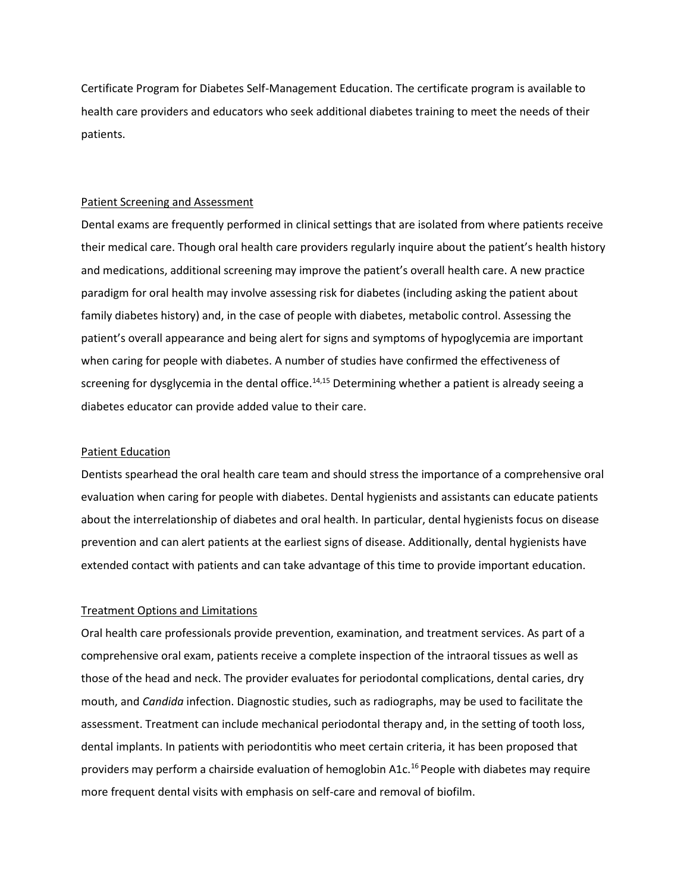Certificate Program for Diabetes Self-Management Education. The certificate program is available to health care providers and educators who seek additional diabetes training to meet the needs of their patients.

#### Patient Screening and Assessment

Dental exams are frequently performed in clinical settings that are isolated from where patients receive their medical care. Though oral health care providers regularly inquire about the patient's health history and medications, additional screening may improve the patient's overall health care. A new practice paradigm for oral health may involve assessing risk for diabetes (including asking the patient about family diabetes history) and, in the case of people with diabetes, metabolic control. Assessing the patient's overall appearance and being alert for signs and symptoms of hypoglycemia are important when caring for people with diabetes. A number of studies have confirmed the effectiveness of screening for dysglycemia in the dental office.<sup>14,15</sup> Determining whether a patient is already seeing a diabetes educator can provide added value to their care.

# Patient Education

Dentists spearhead the oral health care team and should stress the importance of a comprehensive oral evaluation when caring for people with diabetes. Dental hygienists and assistants can educate patients about the interrelationship of diabetes and oral health. In particular, dental hygienists focus on disease prevention and can alert patients at the earliest signs of disease. Additionally, dental hygienists have extended contact with patients and can take advantage of this time to provide important education.

#### Treatment Options and Limitations

Oral health care professionals provide prevention, examination, and treatment services. As part of a comprehensive oral exam, patients receive a complete inspection of the intraoral tissues as well as those of the head and neck. The provider evaluates for periodontal complications, dental caries, dry mouth, and *Candida* infection. Diagnostic studies, such as radiographs, may be used to facilitate the assessment. Treatment can include mechanical periodontal therapy and, in the setting of tooth loss, dental implants. In patients with periodontitis who meet certain criteria, it has been proposed that providers may perform a chairside evaluation of hemoglobin A1c.<sup>16</sup> People with diabetes may require more frequent dental visits with emphasis on self-care and removal of biofilm.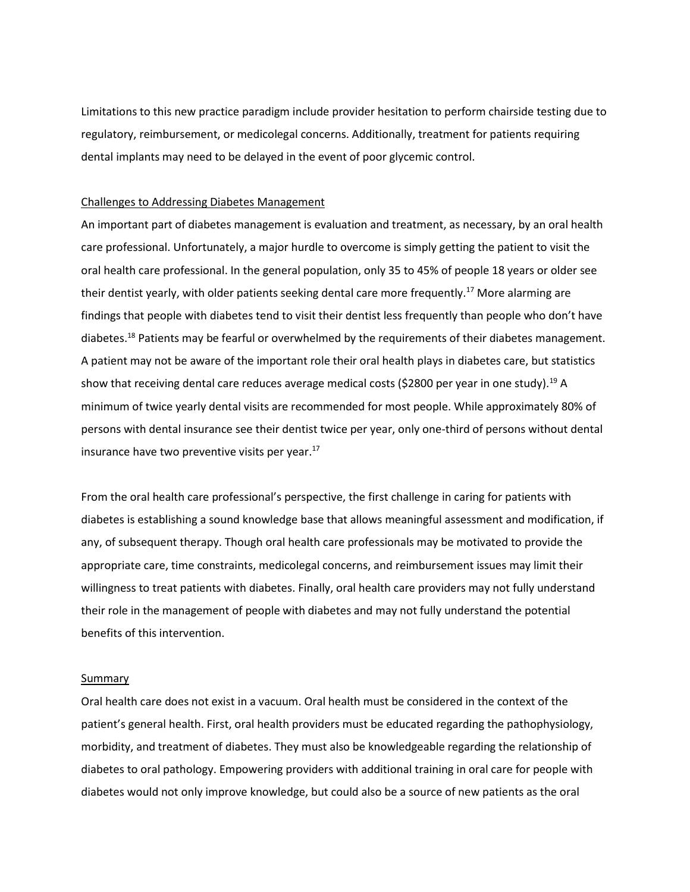Limitations to this new practice paradigm include provider hesitation to perform chairside testing due to regulatory, reimbursement, or medicolegal concerns. Additionally, treatment for patients requiring dental implants may need to be delayed in the event of poor glycemic control.

#### Challenges to Addressing Diabetes Management

An important part of diabetes management is evaluation and treatment, as necessary, by an oral health care professional. Unfortunately, a major hurdle to overcome is simply getting the patient to visit the oral health care professional. In the general population, only 35 to 45% of people 18 years or older see their dentist yearly, with older patients seeking dental care more frequently.<sup>17</sup> More alarming are findings that people with diabetes tend to visit their dentist less frequently than people who don't have diabetes.<sup>18</sup> Patients may be fearful or overwhelmed by the requirements of their diabetes management. A patient may not be aware of the important role their oral health plays in diabetes care, but statistics show that receiving dental care reduces average medical costs (\$2800 per year in one study).<sup>19</sup> A minimum of twice yearly dental visits are recommended for most people. While approximately 80% of persons with dental insurance see their dentist twice per year, only one-third of persons without dental insurance have two preventive visits per year.<sup>17</sup>

From the oral health care professional's perspective, the first challenge in caring for patients with diabetes is establishing a sound knowledge base that allows meaningful assessment and modification, if any, of subsequent therapy. Though oral health care professionals may be motivated to provide the appropriate care, time constraints, medicolegal concerns, and reimbursement issues may limit their willingness to treat patients with diabetes. Finally, oral health care providers may not fully understand their role in the management of people with diabetes and may not fully understand the potential benefits of this intervention.

#### Summary

Oral health care does not exist in a vacuum. Oral health must be considered in the context of the patient's general health. First, oral health providers must be educated regarding the pathophysiology, morbidity, and treatment of diabetes. They must also be knowledgeable regarding the relationship of diabetes to oral pathology. Empowering providers with additional training in oral care for people with diabetes would not only improve knowledge, but could also be a source of new patients as the oral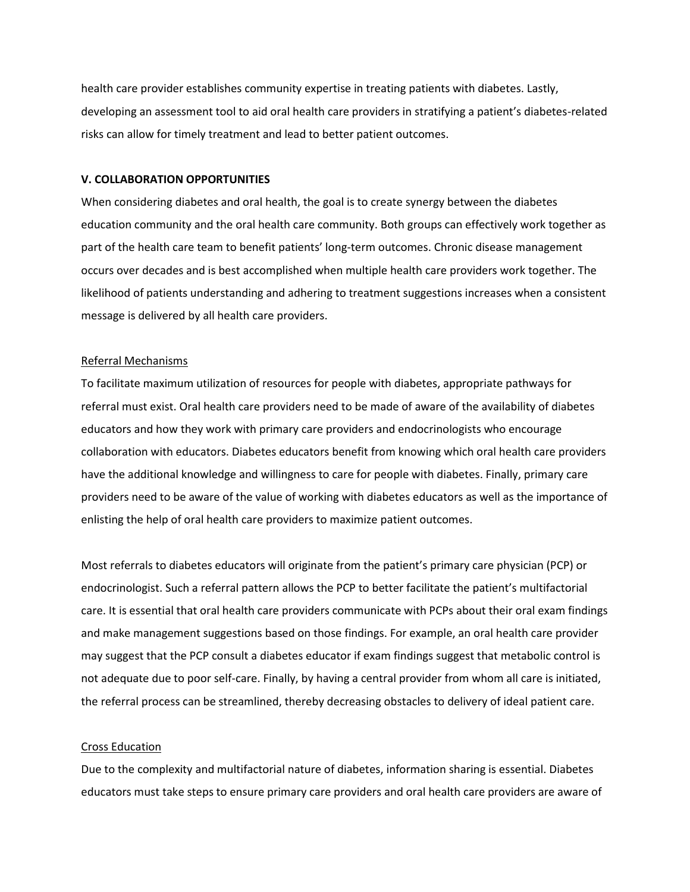health care provider establishes community expertise in treating patients with diabetes. Lastly, developing an assessment tool to aid oral health care providers in stratifying a patient's diabetes-related risks can allow for timely treatment and lead to better patient outcomes.

# **V. COLLABORATION OPPORTUNITIES**

When considering diabetes and oral health, the goal is to create synergy between the diabetes education community and the oral health care community. Both groups can effectively work together as part of the health care team to benefit patients' long-term outcomes. Chronic disease management occurs over decades and is best accomplished when multiple health care providers work together. The likelihood of patients understanding and adhering to treatment suggestions increases when a consistent message is delivered by all health care providers.

# Referral Mechanisms

To facilitate maximum utilization of resources for people with diabetes, appropriate pathways for referral must exist. Oral health care providers need to be made of aware of the availability of diabetes educators and how they work with primary care providers and endocrinologists who encourage collaboration with educators. Diabetes educators benefit from knowing which oral health care providers have the additional knowledge and willingness to care for people with diabetes. Finally, primary care providers need to be aware of the value of working with diabetes educators as well as the importance of enlisting the help of oral health care providers to maximize patient outcomes.

Most referrals to diabetes educators will originate from the patient's primary care physician (PCP) or endocrinologist. Such a referral pattern allows the PCP to better facilitate the patient's multifactorial care. It is essential that oral health care providers communicate with PCPs about their oral exam findings and make management suggestions based on those findings. For example, an oral health care provider may suggest that the PCP consult a diabetes educator if exam findings suggest that metabolic control is not adequate due to poor self-care. Finally, by having a central provider from whom all care is initiated, the referral process can be streamlined, thereby decreasing obstacles to delivery of ideal patient care.

# Cross Education

Due to the complexity and multifactorial nature of diabetes, information sharing is essential. Diabetes educators must take steps to ensure primary care providers and oral health care providers are aware of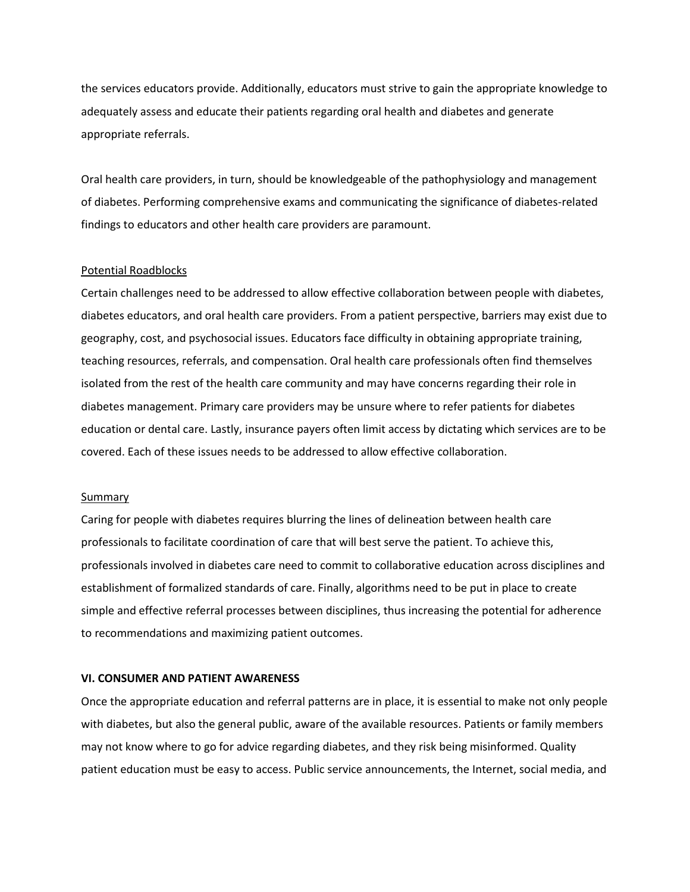the services educators provide. Additionally, educators must strive to gain the appropriate knowledge to adequately assess and educate their patients regarding oral health and diabetes and generate appropriate referrals.

Oral health care providers, in turn, should be knowledgeable of the pathophysiology and management of diabetes. Performing comprehensive exams and communicating the significance of diabetes-related findings to educators and other health care providers are paramount.

#### Potential Roadblocks

Certain challenges need to be addressed to allow effective collaboration between people with diabetes, diabetes educators, and oral health care providers. From a patient perspective, barriers may exist due to geography, cost, and psychosocial issues. Educators face difficulty in obtaining appropriate training, teaching resources, referrals, and compensation. Oral health care professionals often find themselves isolated from the rest of the health care community and may have concerns regarding their role in diabetes management. Primary care providers may be unsure where to refer patients for diabetes education or dental care. Lastly, insurance payers often limit access by dictating which services are to be covered. Each of these issues needs to be addressed to allow effective collaboration.

#### Summary

Caring for people with diabetes requires blurring the lines of delineation between health care professionals to facilitate coordination of care that will best serve the patient. To achieve this, professionals involved in diabetes care need to commit to collaborative education across disciplines and establishment of formalized standards of care. Finally, algorithms need to be put in place to create simple and effective referral processes between disciplines, thus increasing the potential for adherence to recommendations and maximizing patient outcomes.

#### **VI. CONSUMER AND PATIENT AWARENESS**

Once the appropriate education and referral patterns are in place, it is essential to make not only people with diabetes, but also the general public, aware of the available resources. Patients or family members may not know where to go for advice regarding diabetes, and they risk being misinformed. Quality patient education must be easy to access. Public service announcements, the Internet, social media, and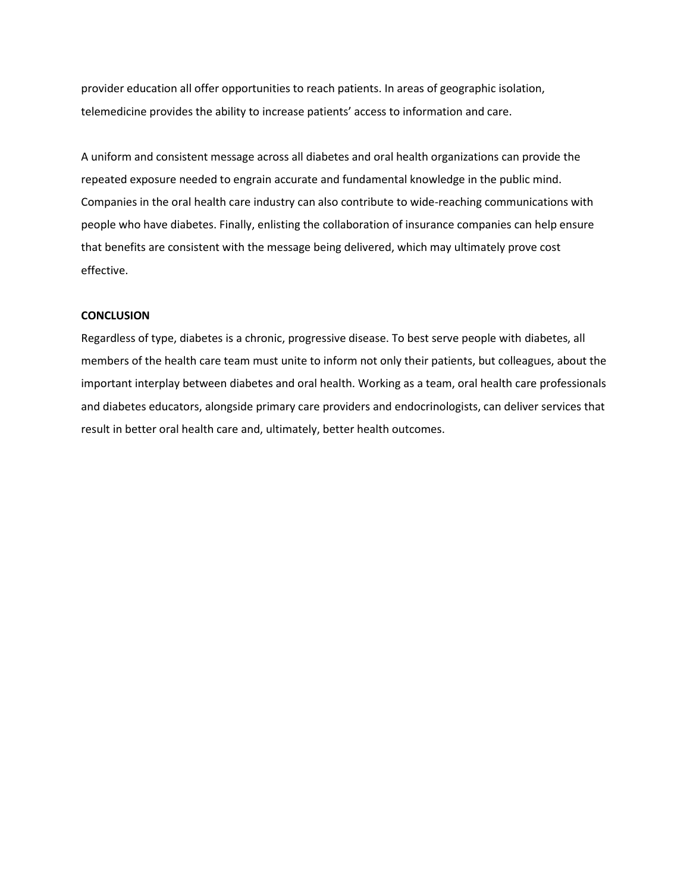provider education all offer opportunities to reach patients. In areas of geographic isolation, telemedicine provides the ability to increase patients' access to information and care.

A uniform and consistent message across all diabetes and oral health organizations can provide the repeated exposure needed to engrain accurate and fundamental knowledge in the public mind. Companies in the oral health care industry can also contribute to wide-reaching communications with people who have diabetes. Finally, enlisting the collaboration of insurance companies can help ensure that benefits are consistent with the message being delivered, which may ultimately prove cost effective.

# **CONCLUSION**

Regardless of type, diabetes is a chronic, progressive disease. To best serve people with diabetes, all members of the health care team must unite to inform not only their patients, but colleagues, about the important interplay between diabetes and oral health. Working as a team, oral health care professionals and diabetes educators, alongside primary care providers and endocrinologists, can deliver services that result in better oral health care and, ultimately, better health outcomes.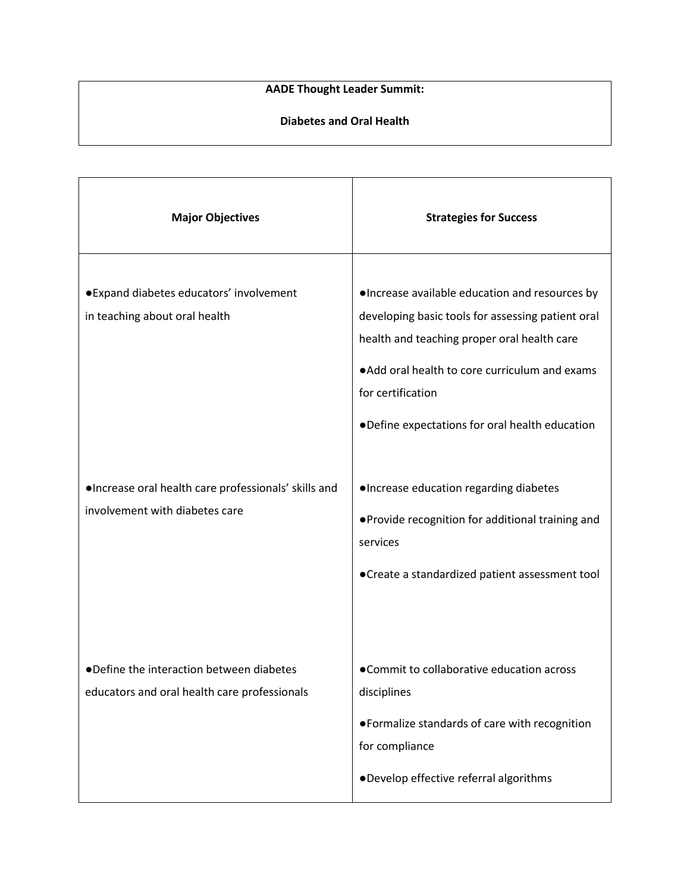# **AADE Thought Leader Summit:**

# **Diabetes and Oral Health**

| <b>Major Objectives</b>                                                                  | <b>Strategies for Success</b>                                                                                                                                                                                                                                               |
|------------------------------------------------------------------------------------------|-----------------------------------------------------------------------------------------------------------------------------------------------------------------------------------------------------------------------------------------------------------------------------|
| ·Expand diabetes educators' involvement<br>in teaching about oral health                 | ·Increase available education and resources by<br>developing basic tools for assessing patient oral<br>health and teaching proper oral health care<br>. Add oral health to core curriculum and exams<br>for certification<br>.Define expectations for oral health education |
| ·Increase oral health care professionals' skills and<br>involvement with diabetes care   | ·Increase education regarding diabetes<br>. Provide recognition for additional training and<br>services<br>• Create a standardized patient assessment tool                                                                                                                  |
| .Define the interaction between diabetes<br>educators and oral health care professionals | •Commit to collaborative education across<br>disciplines<br>• Formalize standards of care with recognition<br>for compliance<br>·Develop effective referral algorithms                                                                                                      |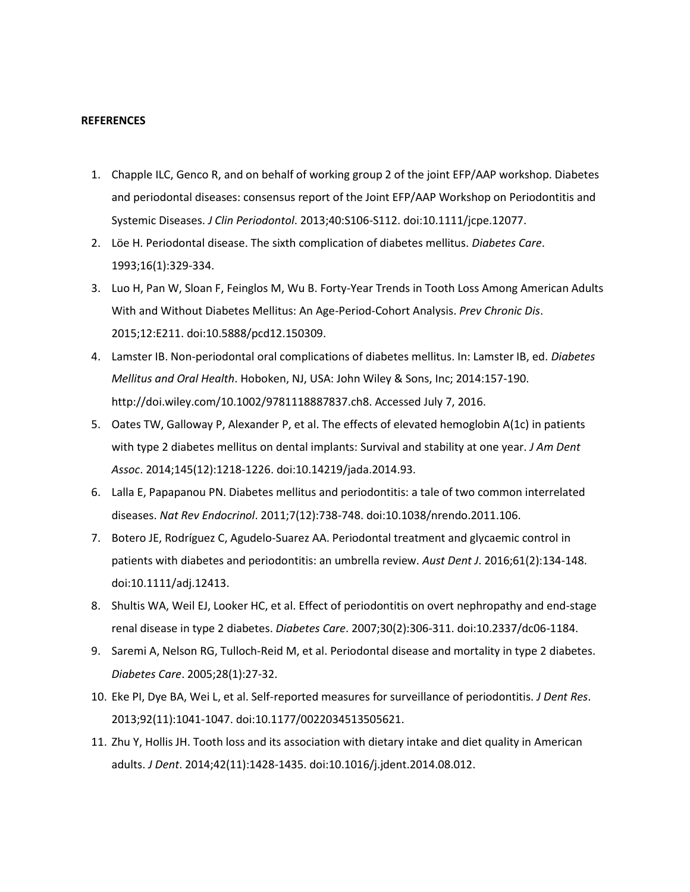#### **REFERENCES**

- 1. Chapple ILC, Genco R, and on behalf of working group 2 of the joint EFP/AAP workshop. Diabetes and periodontal diseases: consensus report of the Joint EFP/AAP Workshop on Periodontitis and Systemic Diseases. *J Clin Periodontol*. 2013;40:S106-S112. doi:10.1111/jcpe.12077.
- 2. Löe H. Periodontal disease. The sixth complication of diabetes mellitus. *Diabetes Care*. 1993;16(1):329-334.
- 3. Luo H, Pan W, Sloan F, Feinglos M, Wu B. Forty-Year Trends in Tooth Loss Among American Adults With and Without Diabetes Mellitus: An Age-Period-Cohort Analysis. *Prev Chronic Dis*. 2015;12:E211. doi:10.5888/pcd12.150309.
- 4. Lamster IB. Non-periodontal oral complications of diabetes mellitus. In: Lamster IB, ed. *Diabetes Mellitus and Oral Health*. Hoboken, NJ, USA: John Wiley & Sons, Inc; 2014:157-190. http://doi.wiley.com/10.1002/9781118887837.ch8. Accessed July 7, 2016.
- 5. Oates TW, Galloway P, Alexander P, et al. The effects of elevated hemoglobin A(1c) in patients with type 2 diabetes mellitus on dental implants: Survival and stability at one year. *J Am Dent Assoc*. 2014;145(12):1218-1226. doi:10.14219/jada.2014.93.
- 6. Lalla E, Papapanou PN. Diabetes mellitus and periodontitis: a tale of two common interrelated diseases. *Nat Rev Endocrinol*. 2011;7(12):738-748. doi:10.1038/nrendo.2011.106.
- 7. Botero JE, Rodríguez C, Agudelo-Suarez AA. Periodontal treatment and glycaemic control in patients with diabetes and periodontitis: an umbrella review. *Aust Dent J*. 2016;61(2):134-148. doi:10.1111/adj.12413.
- 8. Shultis WA, Weil EJ, Looker HC, et al. Effect of periodontitis on overt nephropathy and end-stage renal disease in type 2 diabetes. *Diabetes Care*. 2007;30(2):306-311. doi:10.2337/dc06-1184.
- 9. Saremi A, Nelson RG, Tulloch-Reid M, et al. Periodontal disease and mortality in type 2 diabetes. *Diabetes Care*. 2005;28(1):27-32.
- 10. Eke PI, Dye BA, Wei L, et al. Self-reported measures for surveillance of periodontitis. *J Dent Res*. 2013;92(11):1041-1047. doi:10.1177/0022034513505621.
- 11. Zhu Y, Hollis JH. Tooth loss and its association with dietary intake and diet quality in American adults. *J Dent*. 2014;42(11):1428-1435. doi:10.1016/j.jdent.2014.08.012.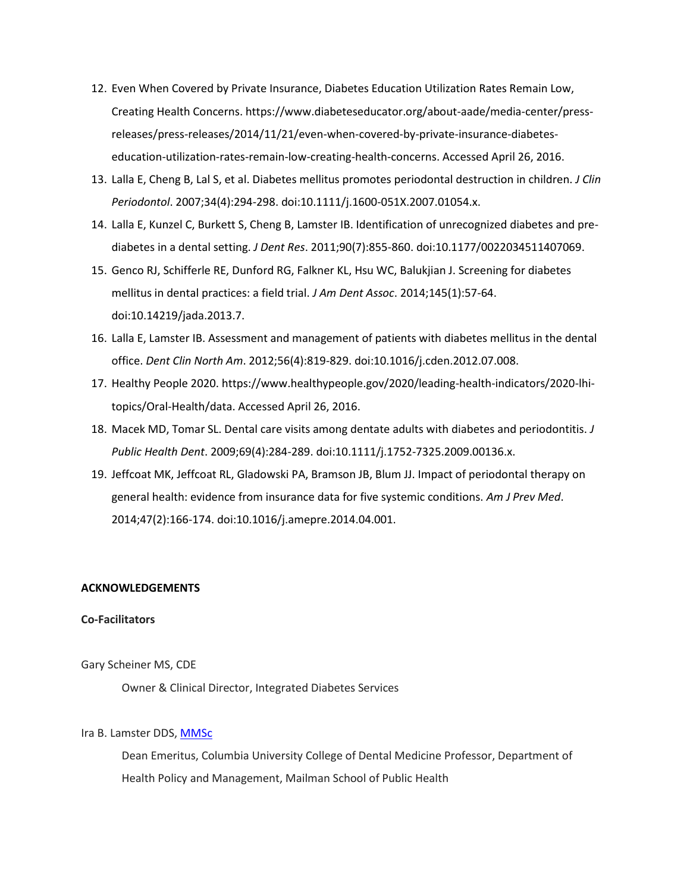- 12. Even When Covered by Private Insurance, Diabetes Education Utilization Rates Remain Low, Creating Health Concerns. https://www.diabeteseducator.org/about-aade/media-center/pressreleases/press-releases/2014/11/21/even-when-covered-by-private-insurance-diabeteseducation-utilization-rates-remain-low-creating-health-concerns. Accessed April 26, 2016.
- 13. Lalla E, Cheng B, Lal S, et al. Diabetes mellitus promotes periodontal destruction in children. *J Clin Periodontol*. 2007;34(4):294-298. doi:10.1111/j.1600-051X.2007.01054.x.
- 14. Lalla E, Kunzel C, Burkett S, Cheng B, Lamster IB. Identification of unrecognized diabetes and prediabetes in a dental setting. *J Dent Res*. 2011;90(7):855-860. doi:10.1177/0022034511407069.
- 15. Genco RJ, Schifferle RE, Dunford RG, Falkner KL, Hsu WC, Balukjian J. Screening for diabetes mellitus in dental practices: a field trial. *J Am Dent Assoc*. 2014;145(1):57-64. doi:10.14219/jada.2013.7.
- 16. Lalla E, Lamster IB. Assessment and management of patients with diabetes mellitus in the dental office. *Dent Clin North Am*. 2012;56(4):819-829. doi:10.1016/j.cden.2012.07.008.
- 17. Healthy People 2020. https://www.healthypeople.gov/2020/leading-health-indicators/2020-lhitopics/Oral-Health/data. Accessed April 26, 2016.
- 18. Macek MD, Tomar SL. Dental care visits among dentate adults with diabetes and periodontitis. *J Public Health Dent*. 2009;69(4):284-289. doi:10.1111/j.1752-7325.2009.00136.x.
- 19. Jeffcoat MK, Jeffcoat RL, Gladowski PA, Bramson JB, Blum JJ. Impact of periodontal therapy on general health: evidence from insurance data for five systemic conditions. *Am J Prev Med*. 2014;47(2):166-174. doi:10.1016/j.amepre.2014.04.001.

# **ACKNOWLEDGEMENTS**

# **Co-Facilitators**

Gary Scheiner MS, CDE

Owner & Clinical Director, Integrated Diabetes Services

# Ira B. Lamster DDS, [MMSc](http://m.m.sc/)

Dean Emeritus, Columbia University College of Dental Medicine Professor, Department of Health Policy and Management, Mailman School of Public Health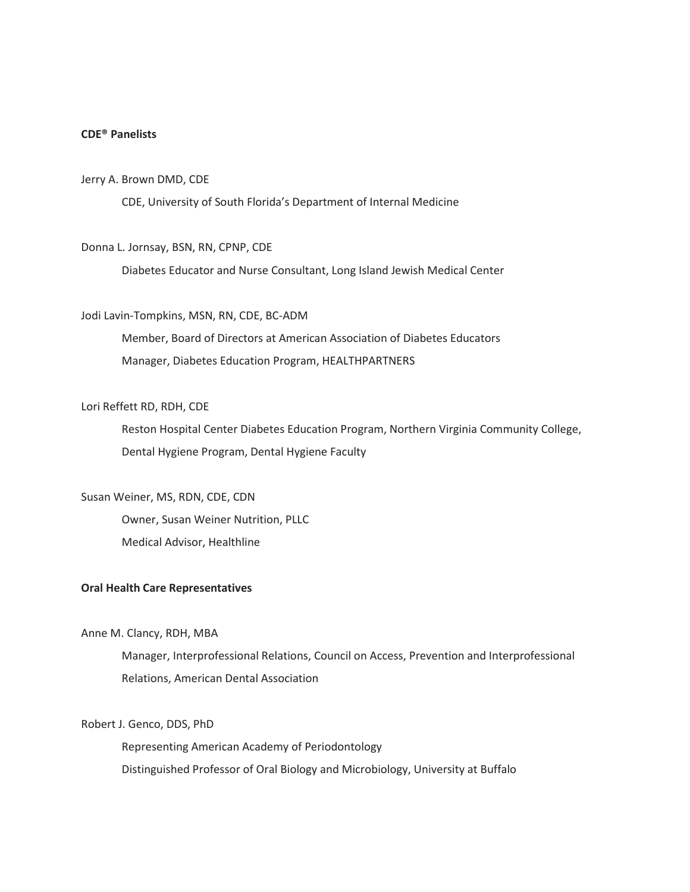# **CDE® Panelists**

### Jerry A. Brown DMD, CDE

CDE, University of South Florida's Department of Internal Medicine

# Donna L. Jornsay, BSN, RN, CPNP, CDE

Diabetes Educator and Nurse Consultant, Long Island Jewish Medical Center

# Jodi Lavin-Tompkins, MSN, RN, CDE, BC-ADM

Member, Board of Directors at American Association of Diabetes Educators Manager, Diabetes Education Program, HEALTHPARTNERS

# Lori Reffett RD, RDH, CDE

Reston Hospital Center Diabetes Education Program, Northern Virginia Community College, Dental Hygiene Program, Dental Hygiene Faculty

# Susan Weiner, MS, RDN, CDE, CDN

Owner, Susan Weiner Nutrition, PLLC Medical Advisor, Healthline

# **Oral Health Care Representatives**

# Anne M. Clancy, RDH, MBA

Manager, Interprofessional Relations, Council on Access, Prevention and Interprofessional Relations, American Dental Association

# Robert J. Genco, DDS, PhD

Representing American Academy of Periodontology Distinguished Professor of Oral Biology and Microbiology, University at Buffalo